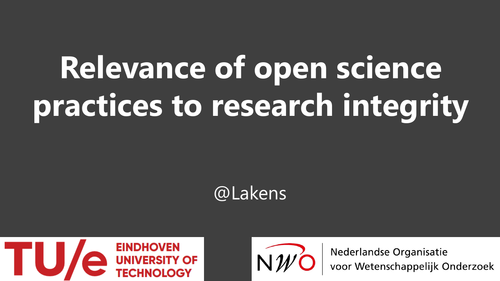# **Relevance of open science practices to research integrity**







Nederlandse Organisatie<br>voor Wetenschappelijk Onderzoek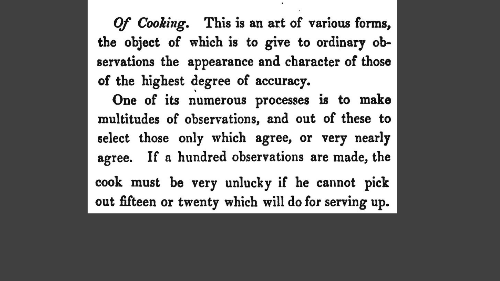Of Cooking. This is an art of various forms, the object of which is to give to ordinary observations the appearance and character of those of the highest degree of accuracy.

One of its numerous processes is to make multitudes of observations, and out of these to select those only which agree, or very nearly agree. If a hundred observations are made, the cook must be very unlucky if he cannot pick out fifteen or twenty which will do for serving up.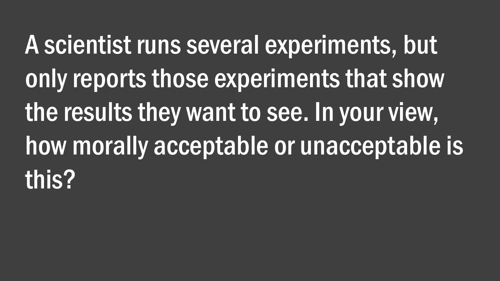A scientist runs several experiments, but only reports those experiments that show the results they want to see. In your view, how morally acceptable or unacceptable is this?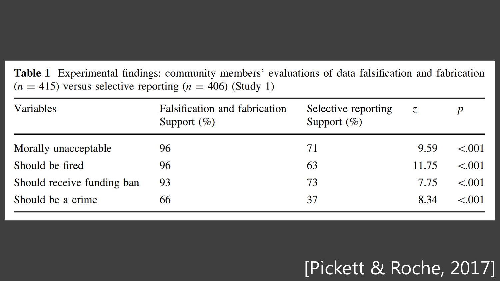Table 1 Experimental findings: community members' evaluations of data falsification and fabrication  $(n = 415)$  versus selective reporting  $(n = 406)$  (Study 1)

| Variables                  | Falsification and fabrication<br>Selective reporting<br>Support $(\%)$<br>Support $(\%)$ |    | Z     | $\boldsymbol{p}$ |
|----------------------------|------------------------------------------------------------------------------------------|----|-------|------------------|
| Morally unacceptable       | 96                                                                                       | 71 | 9.59  | $\leq 0.01$      |
| Should be fired            | 96                                                                                       | 63 | 11.75 | < 0.01           |
| Should receive funding ban | 93                                                                                       | 73 | 7.75  | < 0.01           |
| Should be a crime          | 66                                                                                       | 37 | 8.34  | < 0.01           |

### [Pickett & Roche, 2017]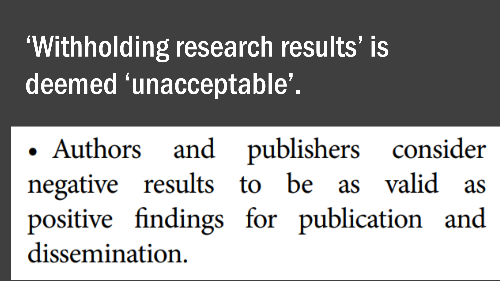## 'Withholding research results' is deemed 'unacceptable'.

• Authors and publishers consider negative results to be as valid as positive findings for publication and dissemination.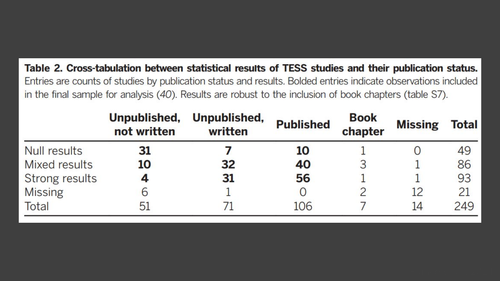Table 2. Cross-tabulation between statistical results of TESS studies and their publication status. Entries are counts of studies by publication status and results. Bolded entries indicate observations included in the final sample for analysis (40). Results are robust to the inclusion of book chapters (table S7).

|                     | Unpublished,<br>not written | Unpublished,<br>written | <b>Published</b> | <b>Book</b><br>chapter | <b>Missing</b> | <b>Total</b> |
|---------------------|-----------------------------|-------------------------|------------------|------------------------|----------------|--------------|
| <b>Null results</b> | 31                          |                         | 10               |                        |                | 49           |
| Mixed results       | 10                          | 32                      | 40               |                        |                | 86           |
| Strong results      |                             | 31                      | 56               |                        |                | 93           |
| <b>Missing</b>      | О                           |                         |                  |                        | 12             | 21           |
| Total               | 51                          |                         | 106              |                        | 14             | 249          |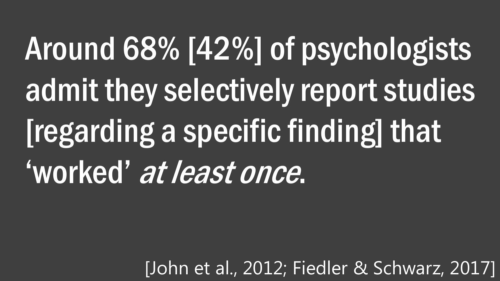Around 68% [42%] of psychologists admit they selectively report studies [regarding a specific finding] that 'worked' at least once.

[John et al., 2012; Fiedler & Schwarz, 2017]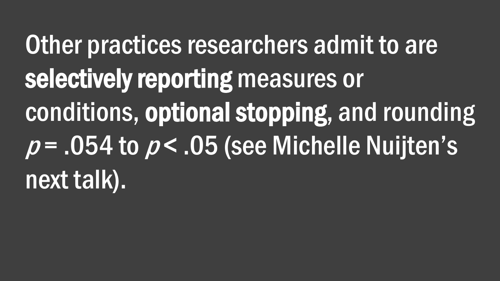Other practices researchers admit to are selectively reporting measures or conditions, optional stopping, and rounding  $p = .054$  to  $p < .05$  (see Michelle Nuijten's next talk).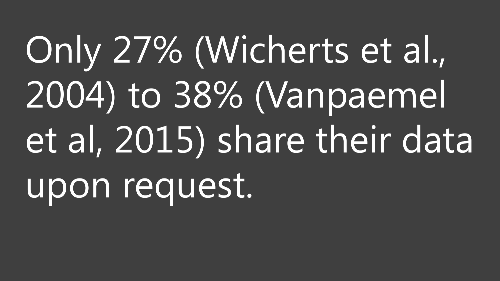Only 27% (Wicherts et al., 2004) to 38% (Vanpaemel et al, 2015) share their data upon request.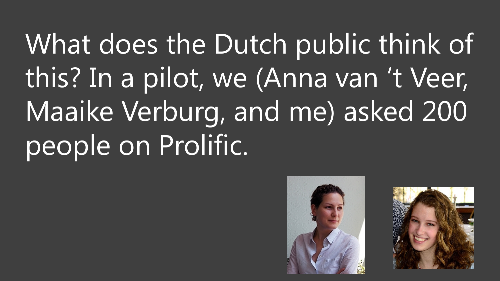What does the Dutch public think of this? In a pilot, we (Anna van 't Veer, Maaike Verburg, and me) asked 200 people on Prolific.



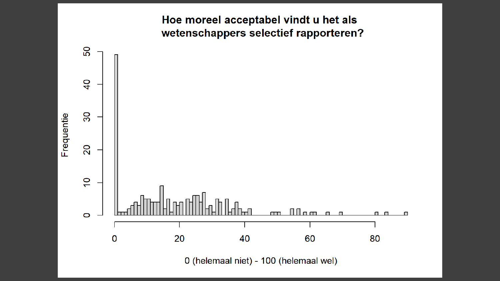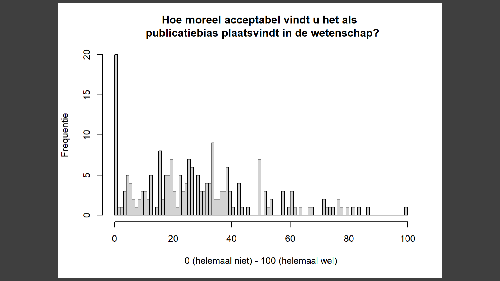#### Hoe moreel acceptabel vindt u het als publicatiebias plaatsvindt in de wetenschap?

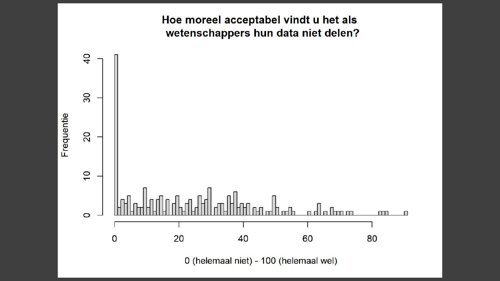

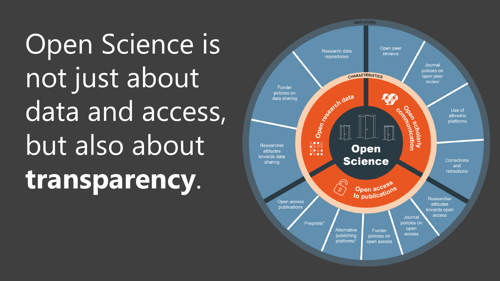Open Science is not just about data and access, but also about **transparency**.

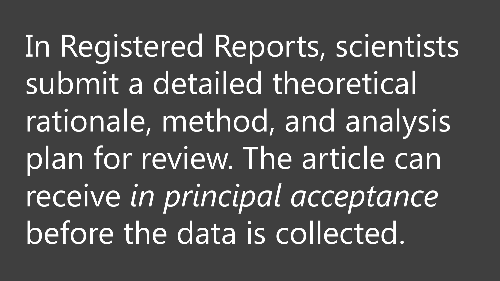In Registered Reports, scientists submit a detailed theoretical rationale, method, and analysis plan for review. The article can receive *in principal acceptance*  before the data is collected.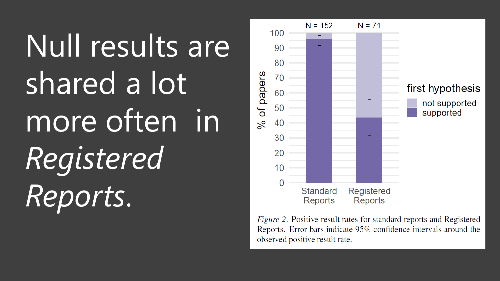# Null results are shared a lot more often in *Registered Reports*.



*Figure 2.* Positive result rates for standard reports and Registered Reports. Error bars indicate 95% confidence intervals around the observed positive result rate.